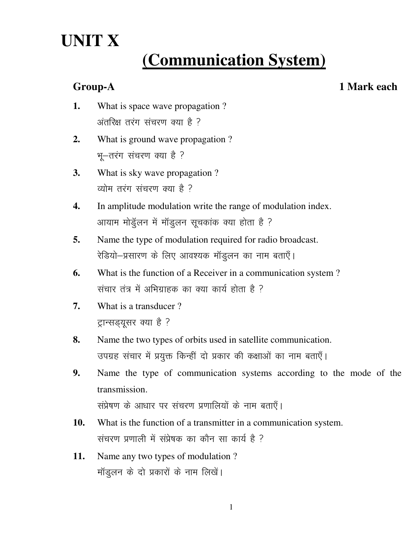# **UNIT X**

## **(Communication System)**

**Group-A 1 Mark each** 

- **1.** What is space wave propagation ? अंतरिक्ष तरंग संचरण क्या है ?
- **2.** What is ground wave propagation ? भू-तरंग संचरण क्या है ?
- **3.** What is sky wave propagation ? व्योम तरंग संचरण क्या है ?
- **4.** In amplitude modulation write the range of modulation index. आयाम मोडुलन में मॉडुलन सूचकांक क्या होता है ?
- **5.** Name the type of modulation required for radio broadcast. रेडियो-प्रसारण के लिए आवश्यक मॉडुलन का नाम बताएँ।
- **6.** What is the function of a Receiver in a communication system ? संचार तंत्र में अभिग्राहक का क्या कार्य होता है ?
- **7.** What is a transducer ? ट्रान्सड्यूसर क्या है ?
- **8.** Name the two types of orbits used in satellite communication. उपग्रह संचार में प्रयुक्त किन्हीं दो प्रकार की कक्षाओं का नाम बताएँ।
- **9.** Name the type of communication systems according to the mode of the transmission.
	- संप्रेषण के आधार पर संचरण प्रणालियों के नाम बताएँ।
- **10.** What is the function of a transmitter in a communication system. संचरण प्रणाली में संप्रेषक का कौन सा कार्य है ?
- **11.** Name any two types of modulation ? मॉडूलन के दो प्रकारों के नाम लिखें।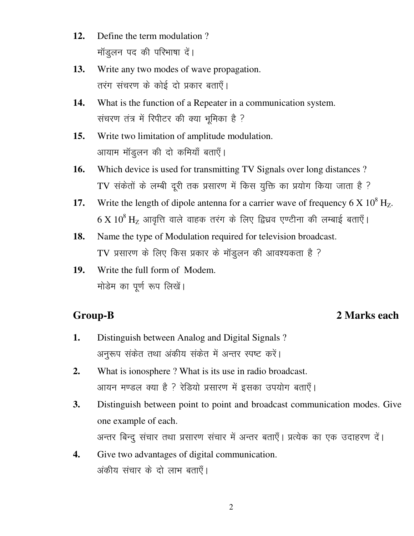- $12.$ Define the term modulation? मॉडूलन पद की परिभाषा दें।
- Write any two modes of wave propagation. 13. तरंग संचरण के कोई दो प्रकार बताएँ।
- 14. What is the function of a Repeater in a communication system. संचरण तंत्र में रिपीटर की क्या भूमिका है ?
- Write two limitation of amplitude modulation.  $15.$ आयाम मॉडूलन की दो कमियाँ बताएँ।
- Which device is used for transmitting TV Signals over long distances? 16. TV संकेतों के लम्बी दूरी तक प्रसारण में किस युक्ति का प्रयोग किया जाता है ?
- Write the length of dipole antenna for a carrier wave of frequency 6 X  $10^8$  Hz. 17.  $6 X 10^8$  Hz आवृत्ति वाले वाहक तरंग के लिए द्विध्रव एण्टीना की लम्बाई बताएँ।
- Name the type of Modulation required for television broadcast. 18. TV प्रसारण के लिए किस प्रकार के मॉडूलन की आवश्यकता है ?
- $19<sub>1</sub>$ Write the full form of Modem. मोडेम का पूर्ण रूप लिखें।

### **Group-B**

#### 2 Marks each

- Distinguish between Analog and Digital Signals? 1. अनुरूप संकेत तथा अंकीय संकेत में अन्तर स्पष्ट करें।
- What is ionosphere? What is its use in radio broadcast.  $2.$ आयन मण्डल क्या है ? रेडियो प्रसारण में इसका उपयोग बताएँ।
- $3.$ Distinguish between point to point and broadcast communication modes. Give one example of each.

अन्तर बिन्दु संचार तथा प्रसारण संचार में अन्तर बताएँ। प्रत्येक का एक उदाहरण दें।

Give two advantages of digital communication.  $\overline{4}$ . अंकीय संचार के दो लाभ बताएँ।